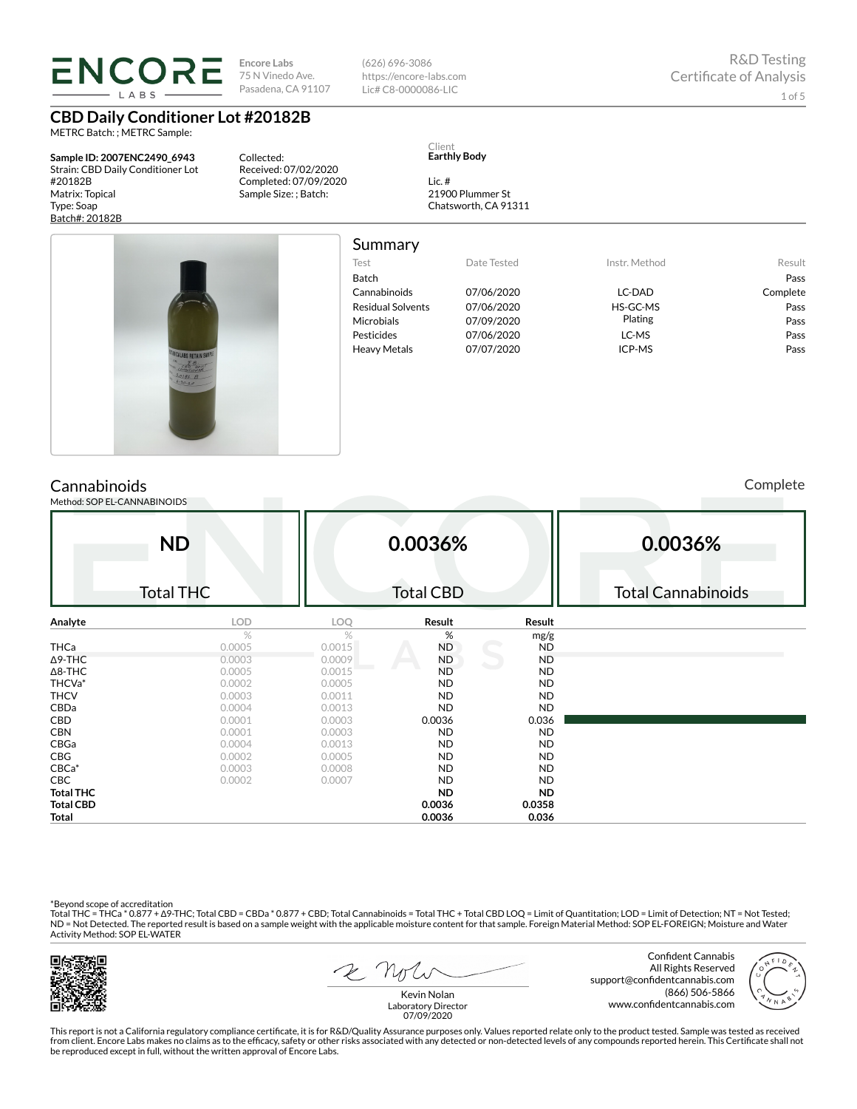LABS

**Encore Labs** 75 N Vinedo Ave. Pasadena, CA 91107

**CBD Daily Conditioner Lot #20182B**

METRC Batch: ; METRC Sample:

**Sample ID: 2007ENC2490\_6943** Strain: CBD Daily Conditioner Lot #20182B Matrix: Topical Type: Soap Batch#: 20182B

Collected: Received: 07/02/2020 Completed: 07/09/2020 Sample Size: ; Batch:

(626) 696-3086 https://encore-labs.com Lic# C8-0000086-LIC

Client **Earthly Body**

Lic. # 21900 Plummer St Chatsworth, CA 91311



Summary

| -----------              |             |               |          |
|--------------------------|-------------|---------------|----------|
| Test                     | Date Tested | Instr. Method | Result   |
| Batch                    |             |               | Pass     |
| Cannabinoids             | 07/06/2020  | LC-DAD        | Complete |
| <b>Residual Solvents</b> | 07/06/2020  | HS-GC-MS      | Pass     |
| Microbials               | 07/09/2020  | Plating       | Pass     |
| Pesticides               | 07/06/2020  | LC-MS         | Pass     |
| <b>Heavy Metals</b>      | 07/07/2020  | ICP-MS        | Pass     |
|                          |             |               |          |

# **Cannabinoids**

Method: SOP EL-CANNABINOIDS

Complete

|                  | <b>ND</b>        |        | 0.0036%          |           | 0.0036%                   |
|------------------|------------------|--------|------------------|-----------|---------------------------|
|                  | <b>Total THC</b> |        | <b>Total CBD</b> |           | <b>Total Cannabinoids</b> |
| Analyte          | LOD              | LOQ    | Result           | Result    |                           |
|                  | %                | %      | %                | mg/g      |                           |
| <b>THCa</b>      | 0.0005           | 0.0015 | <b>ND</b>        | <b>ND</b> |                           |
| $\Delta$ 9-THC   | 0.0003           | 0.0009 | ND               | <b>ND</b> |                           |
| $\Delta$ 8-THC   | 0.0005           | 0.0015 | <b>ND</b>        | ND        |                           |
| THCVa*           | 0.0002           | 0.0005 | ND               | ND        |                           |
| <b>THCV</b>      | 0.0003           | 0.0011 | ND               | ND        |                           |
| CBDa             | 0.0004           | 0.0013 | <b>ND</b>        | <b>ND</b> |                           |
| CBD              | 0.0001           | 0.0003 | 0.0036           | 0.036     |                           |
| <b>CBN</b>       | 0.0001           | 0.0003 | ND               | <b>ND</b> |                           |
| CBGa             | 0.0004           | 0.0013 | ND               | <b>ND</b> |                           |
| CBG              | 0.0002           | 0.0005 | <b>ND</b>        | <b>ND</b> |                           |
| $CBCa*$          | 0.0003           | 0.0008 | ND               | ND        |                           |
| <b>CBC</b>       | 0.0002           | 0.0007 | <b>ND</b>        | <b>ND</b> |                           |
| <b>Total THC</b> |                  |        | ND.              | <b>ND</b> |                           |
| <b>Total CBD</b> |                  |        | 0.0036           | 0.0358    |                           |
| Total            |                  |        | 0.0036           | 0.036     |                           |

\*Beyond scope of accreditation<br>Total THC = THCa \* 0.877 + ∆9-THC; Total CBD = CBDa \* 0.877 + CBD; Total Cannabinoids = Total THC + Total CBD LOQ = Limit of Quantitation; LOD = Limit of Detection; NT = Not Tested; ND = Not Detected. The reported result is based on a sample weight with the applicable moisture content for that sample. Foreign Material Method: SOP EL-FOREIGN; Moisture and Water Activity Method: SOP EL-WATER



2 Not

Confident Cannabis All Rights Reserved support@confidentcannabis.com (866) 506-5866 www.confidentcannabis.com



Kevin Nolan Laboratory Director 07/09/2020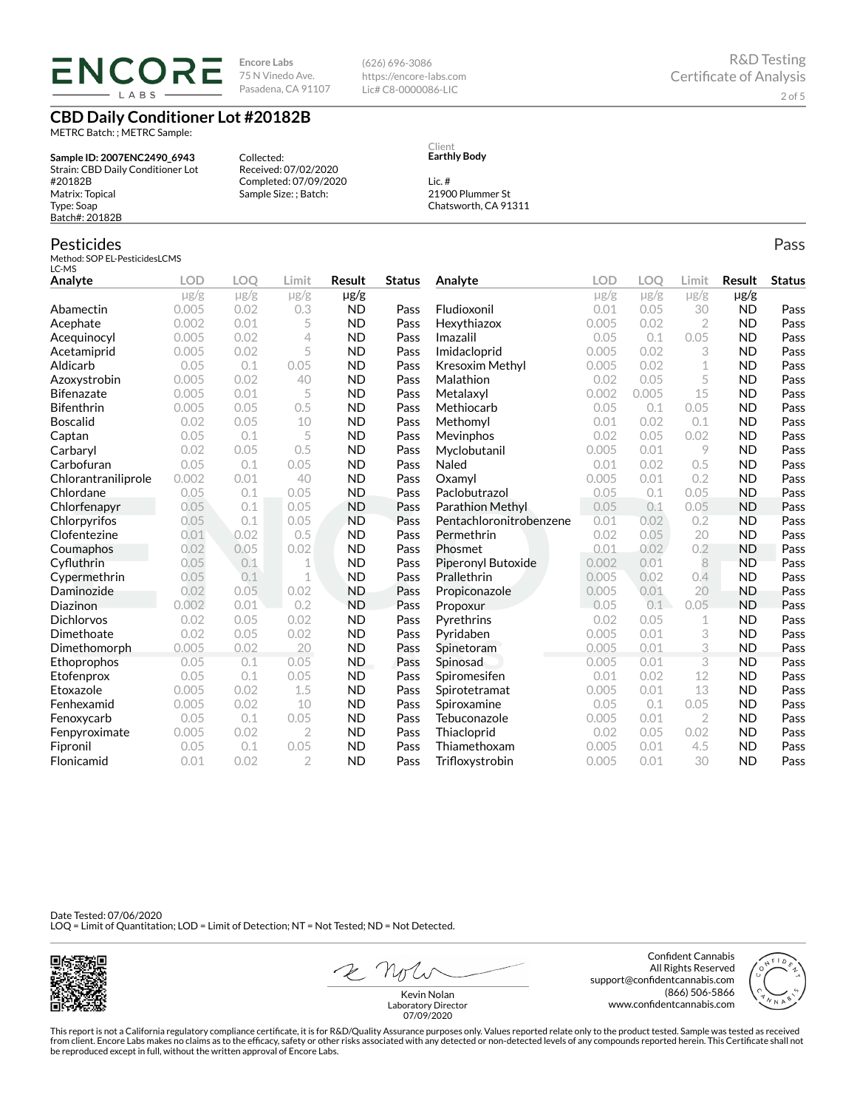ENCORE LABS

**Encore Labs** 75 N Vinedo Ave. Pasadena, CA 91107

Received: 07/02/2020 Completed: 07/09/2020 Sample Size: ; Batch:

Collected:

(626) 696-3086 https://encore-labs.com Lic# C8-0000086-LIC

Pass

## **CBD Daily Conditioner Lot #20182B**

METRC Batch: ; METRC Sample:

**Sample ID: 2007ENC2490\_6943** Strain: CBD Daily Conditioner Lot #20182B Matrix: Topical Type: Soap Batch#: 20182B

## Pesticides

Method: SOP EL-PesticidesLCMS LC-MS

**Analyte LOD LOQ Limit Result Status**  $\mu$ g/g  $\mu$ g/g  $\mu$ g/g  $\mu$ g/g Abamectin 0.005 0.02 0.3 ND Pass Acephate 0.002 0.01 5 ND Pass Acequinocyl 0.005 0.02 4 ND Pass Acetamiprid 0.005 0.02 5 ND Pass Aldicarb 0.05 0.1 0.05 ND Pass Azoxystrobin 0.005 0.02 40 ND Pass Bifenazate 0.005 0.01 5 ND Pass Bifenthrin 0.005 0.05 0.5 ND Pass Boscalid 0.02 0.05 10 ND Pass **Captan**  $0.05$   $0.1$  5 **ND Pass Carbaryl 0.02 0.05 0.5 ND Pass** Carbofuran 0.05 0.1 0.05 ND Pass Chlorantraniliprole 0.002 0.01 40 ND Pass Chlordane 0.05 0.1 0.05 ND Pass Chlorfenapyr 0.05 0.1 0.05 ND Pass Chlorpyrifos 0.05 0.1 0.05 ND Pass Clofentezine 0.01 0.02 0.5 ND Pass Coumaphos 0.02 0.05 0.02 ND Pass  $Cyfluthrin$   $0.05$   $0.1$   $1$   $ND$  Pass Cypermethrin 0.05 0.1 1 ND Pass Daminozide 0.02 0.05 0.02 ND Pass Diazinon 0.002 0.01 0.2 ND Pass Dichlorvos 0.02 0.05 0.02 ND Pass Dimethoate 0.02 0.05 0.02 ND Pass Dimethomorph 0.005 0.02 20 ND Pass Ethoprophos 0.05 0.1 0.05 ND Pass Etofenprox 0.05 0.1 0.05 ND Pass Etoxazole 0.005 0.02 1.5 ND Pass Fenhexamid 0.005 0.02 10 ND Pass Fenoxycarb 0.05 0.1 0.05 ND Pass Fenpyroximate 0.005 0.02 2 ND Pass Fipronil 0.05 0.1 0.05 ND Pass Flonicamid 0.01 0.02 2 ND Pass **Analyte LOD LOQ Limit Result Status**  $\mu$ g/g  $\mu$ g/g  $\mu$ g/g  $\mu$ g/g Fludioxonil 0.01 0.05 30 ND Pass Hexythiazox 0.005 0.02 2 ND Pass **Imazalil 11 0.05 0.1 0.05 ND Pass** Imidacloprid 0.005 0.02 3 ND Pass Kresoxim Methyl  $0.005$  0.02 1 ND Pass **Malathion** 0.02 0.05 5 **ND Pass** Metalaxyl 0.002 0.005 15 ND Pass Methiocarb 0.05 0.1 0.05 ND Pass Methomyl 0.01 0.02 0.1 ND Pass Mevinphos 0.02 0.05 0.02 ND Pass Myclobutanil 0.005 0.01 9 ND Pass **Naled 1200 0.01 0.02 0.5 ND Pass Oxamyl** 0.005 0.01 0.2 **ND Pass** Paclobutrazol 0.05 0.1 0.05 ND Pass Parathion Methyl 0.05 0.1 0.05 ND Pass Pentachloronitrobenzene 0.01 0.02 0.2 ND Pass Permethrin 0.02 0.05 20 ND Pass **Phosmet** 0.01 0.02 0.2 **ND Pass** Piperonyl Butoxide 0.002 0.01 8 ND Pass Prallethrin 0.005 0.02 0.4 ND Pass Propiconazole 0.005 0.01 20 ND Pass **Propoxur 1988 0.05 0.1 0.05 ND Pass** Pyrethrins 0.02 0.05 1 ND Pass Pyridaben 0.005 0.01 3 ND Pass Spinetoram 0.005 0.01 3 ND Pass Spinosad 0.005 0.01 3 ND Pass Spiromesifen 0.01 0.02 12 ND Pass Spirotetramat 0.005 0.01 13 ND Pass Spiroxamine 0.05 0.1 0.05 ND Pass Tebuconazole 0.005 0.01 2 ND Pass Thiacloprid 0.02 0.05 0.02 ND Pass Thiamethoxam 0.005 0.01 4.5 ND Pass Trifloxystrobin 0.005 0.01 30 ND Pass

Date Tested: 07/06/2020 LOQ = Limit of Quantitation; LOD = Limit of Detection; NT = Not Tested; ND = Not Detected.



2 not

Confident Cannabis All Rights Reserved support@confidentcannabis.com (866) 506-5866 www.confidentcannabis.com



Kevin Nolan Laboratory Director 07/09/2020

This report is not a California regulatory compliance certificate, it is for R&D/Quality Assurance purposes only. Values reported relate only to the product tested. Sample was tested as received from client. Encore Labs makes no claims as to the efficacy, safety or other risks associated with any detected or non-detected levels of any compounds reported herein. This Certificate shall not be reproduced except in full, without the written approval of Encore Labs.

Client **Earthly Body**

Lic. # 21900 Plummer St Chatsworth, CA 91311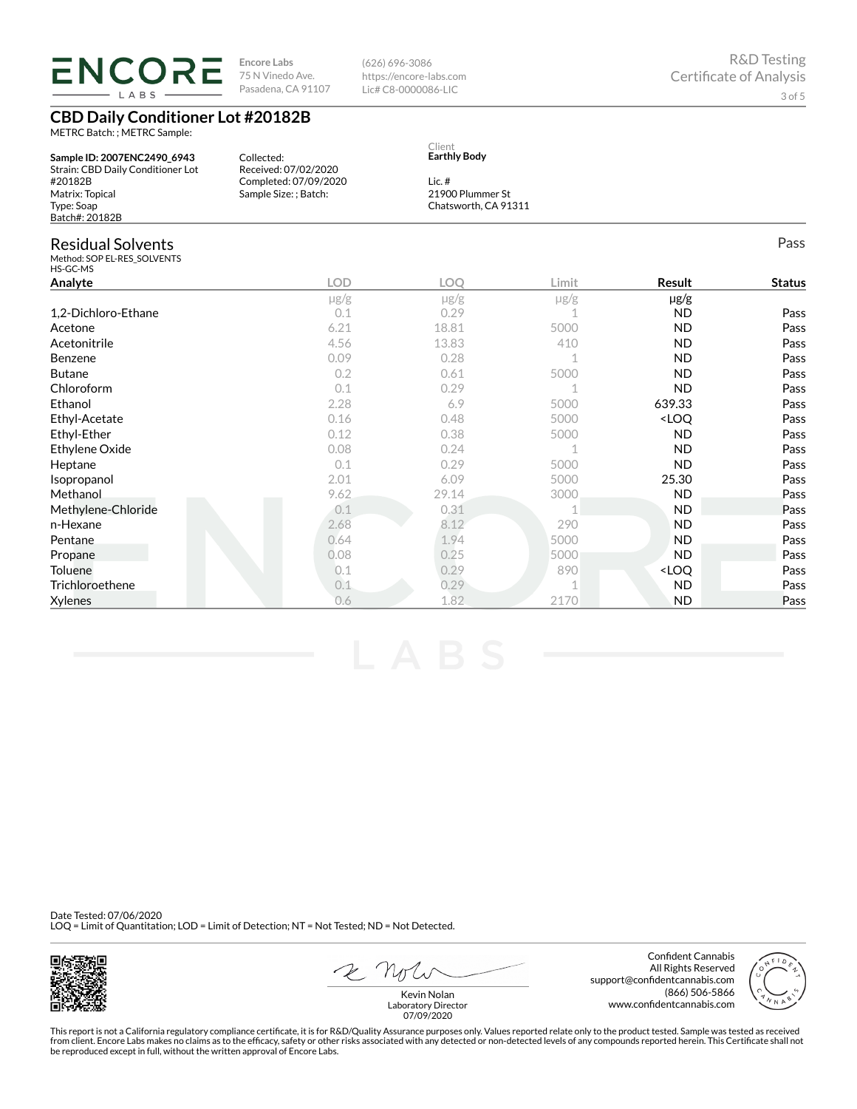**ENCORE** LABS

METRC Batch: ; METRC Sample:

**CBD Daily Conditioner Lot #20182B**

**Encore Labs** 75 N Vinedo Ave. Pasadena, CA 91107 (626) 696-3086 https://encore-labs.com Lic# C8-0000086-LIC

| Sample ID: 2007ENC2490 6943<br>Strain: CBD Daily Conditioner Lot    | Collected:<br>Received: 07/02/2020             | Client<br><b>Earthly Body</b>                        |           |                                  |               |
|---------------------------------------------------------------------|------------------------------------------------|------------------------------------------------------|-----------|----------------------------------|---------------|
| #20182B<br>Matrix: Topical<br>Type: Soap<br>Batch#: 20182B          | Completed: 07/09/2020<br>Sample Size: ; Batch: | Lic. $#$<br>21900 Plummer St<br>Chatsworth, CA 91311 |           |                                  |               |
| <b>Residual Solvents</b><br>Method: SOP EL-RES SOLVENTS<br>HS-GC-MS |                                                |                                                      |           |                                  | Pass          |
| Analyte                                                             | <b>LOD</b>                                     | <b>LOO</b>                                           | Limit     | Result                           | <b>Status</b> |
|                                                                     | $\mu$ g/g                                      | $\mu$ g/g                                            | $\mu$ g/g | $\mu$ g/g                        |               |
| 1,2-Dichloro-Ethane                                                 | 0.1                                            | 0.29                                                 |           | <b>ND</b>                        | Pass          |
| Acetone                                                             | 6.21                                           | 18.81                                                | 5000      | <b>ND</b>                        | Pass          |
| Acetonitrile                                                        | 4.56                                           | 13.83                                                | 410       | <b>ND</b>                        | Pass          |
| Benzene                                                             | 0.09                                           | 0.28                                                 |           | <b>ND</b>                        | Pass          |
| <b>Butane</b>                                                       | 0.2                                            | 0.61                                                 | 5000      | <b>ND</b>                        | Pass          |
| Chloroform                                                          | 0.1                                            | 0.29                                                 |           | <b>ND</b>                        | Pass          |
| Ethanol                                                             | 2.28                                           | 6.9                                                  | 5000      | 639.33                           | Pass          |
| Ethyl-Acetate                                                       | 0.16                                           | 0.48                                                 | 5000      | <loq< td=""><td>Pass</td></loq<> | Pass          |
| Ethyl-Ether                                                         | 0.12                                           | 0.38                                                 | 5000      | <b>ND</b>                        | Pass          |
| Ethylene Oxide                                                      | 0.08                                           | 0.24                                                 |           | <b>ND</b>                        | Pass          |
| Heptane                                                             | 0.1                                            | 0.29                                                 | 5000      | <b>ND</b>                        | Pass          |
| Isopropanol                                                         | 2.01                                           | 6.09                                                 | 5000      | 25.30                            | Pass          |
| Methanol                                                            | 9.62                                           | 29.14                                                | 3000      | <b>ND</b>                        | Pass          |
| Methylene-Chloride                                                  | 0.1                                            | 0.31                                                 |           | <b>ND</b>                        | Pass          |
| n-Hexane                                                            | 2.68                                           | 8.12                                                 | 290       | <b>ND</b>                        | Pass          |
| Pentane                                                             | 0.64                                           | 1.94                                                 | 5000      | <b>ND</b>                        | Pass          |
| Propane                                                             | 0.08                                           | 0.25                                                 | 5000      | <b>ND</b>                        | Pass          |
| Toluene                                                             | 0.1                                            | 0.29                                                 | 890       | <loq< td=""><td>Pass</td></loq<> | Pass          |
| Trichloroethene                                                     | 0.1                                            | 0.29                                                 |           | <b>ND</b>                        | Pass          |
| <b>Xylenes</b>                                                      | 0.6                                            | 1.82                                                 | 2170      | <b>ND</b>                        | Pass          |

Date Tested: 07/06/2020 LOQ = Limit of Quantitation; LOD = Limit of Detection; NT = Not Tested; ND = Not Detected.



2 Not

Confident Cannabis All Rights Reserved support@condentcannabis.com (866) 506-5866 www.confidentcannabis.com



Kevin Nolan Laboratory Director 07/09/2020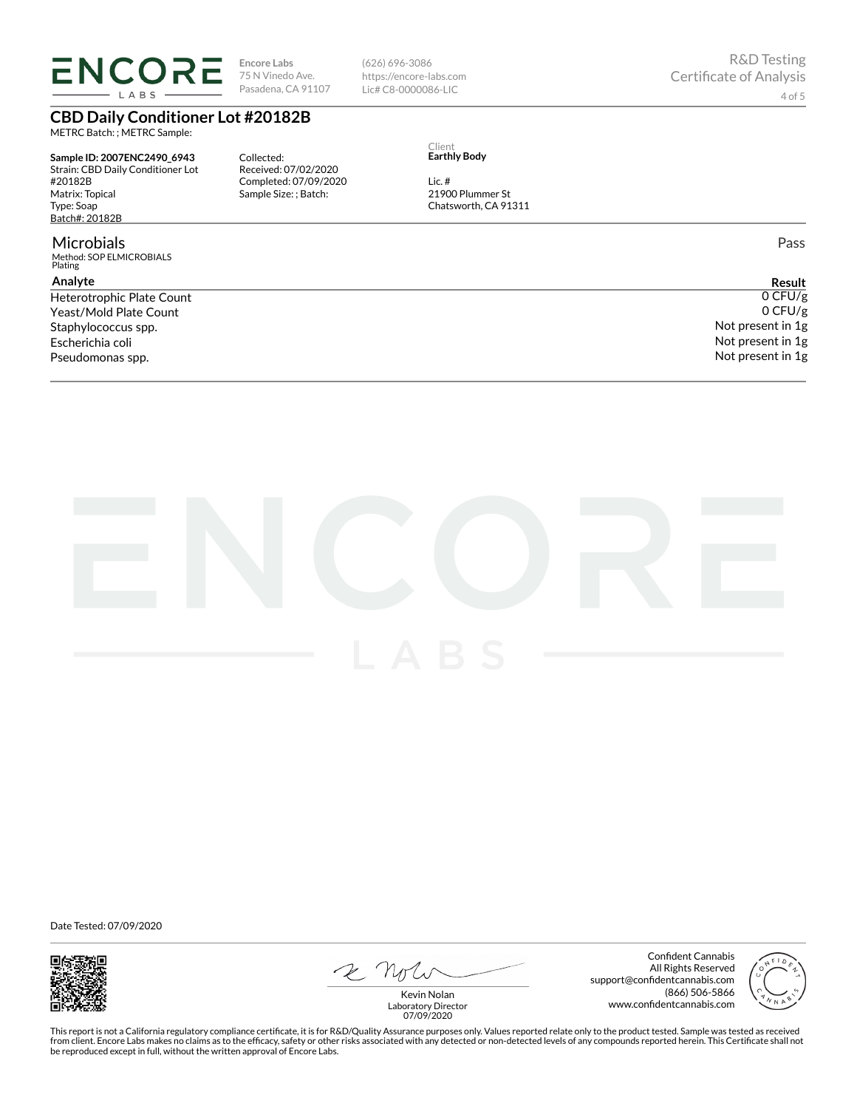**ENCORE** LABS

**Encore Labs** 75 N Vinedo Ave. Pasadena, CA 91107

(626) 696-3086 https://encore-labs.com Lic# C8-0000086-LIC

# **CBD Daily Conditioner Lot #20182B**

METRC Batch: ; METRC Sample:

**Sample ID: 2007ENC2490\_6943** Strain: CBD Daily Conditioner Lot #20182B Matrix: Topical Type: Soap Batch#: 20182B

#### Microbials

Method: SOP ELMICROBIALS Plating

### **Analyte**

Yeast/Mold Plate Count Staphylococcus spp. Escherichia coli Pseudomonas spp.

Collected: Received: 07/02/2020 Completed: 07/09/2020 Sample Size: ; Batch:

Client **Earthly Body**

21900 Plummer St

Lic. #

Chatsworth, CA 91311

Pass

**Result** Heterotrophic Plate Count  $0$  CFU/g 0 CFU/g Not present in 1g Not present in 1g Not present in 1g



Date Tested: 07/09/2020



2 not

Confident Cannabis All Rights Reserved support@confidentcannabis.com (866) 506-5866 www.confidentcannabis.com



Kevin Nolan Laboratory Director 07/09/2020